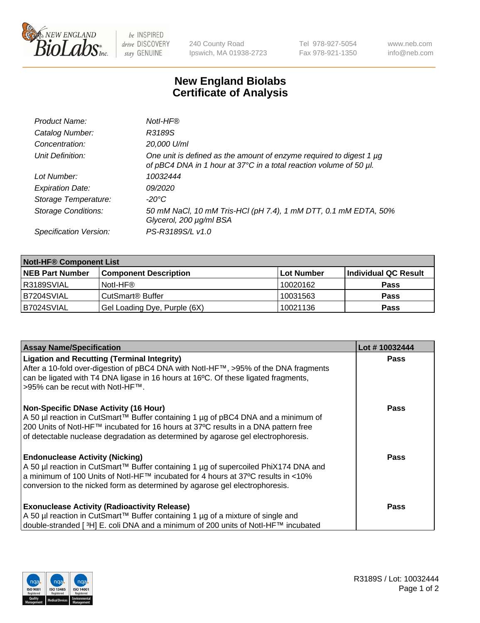

be INSPIRED drive DISCOVERY stay GENUINE

240 County Road Ipswich, MA 01938-2723 Tel 978-927-5054 Fax 978-921-1350 www.neb.com info@neb.com

## **New England Biolabs Certificate of Analysis**

| Product Name:              | Notl-HF®                                                                                                                                  |
|----------------------------|-------------------------------------------------------------------------------------------------------------------------------------------|
| Catalog Number:            | R3189S                                                                                                                                    |
| Concentration:             | 20,000 U/ml                                                                                                                               |
| Unit Definition:           | One unit is defined as the amount of enzyme required to digest 1 µg<br>of pBC4 DNA in 1 hour at 37°C in a total reaction volume of 50 µl. |
| Lot Number:                | 10032444                                                                                                                                  |
| <b>Expiration Date:</b>    | 09/2020                                                                                                                                   |
| Storage Temperature:       | $-20^{\circ}$ C                                                                                                                           |
| <b>Storage Conditions:</b> | 50 mM NaCl, 10 mM Tris-HCl (pH 7.4), 1 mM DTT, 0.1 mM EDTA, 50%<br>Glycerol, 200 µg/ml BSA                                                |
| Specification Version:     | PS-R3189S/L v1.0                                                                                                                          |

| <b>Notl-HF® Component List</b> |                              |            |                      |  |  |
|--------------------------------|------------------------------|------------|----------------------|--|--|
| <b>NEB Part Number</b>         | <b>Component Description</b> | Lot Number | Individual QC Result |  |  |
| R3189SVIAL                     | Notl-HF®                     | 10020162   | <b>Pass</b>          |  |  |
| B7204SVIAL                     | CutSmart <sup>®</sup> Buffer | 10031563   | <b>Pass</b>          |  |  |
| B7024SVIAL                     | Gel Loading Dye, Purple (6X) | 10021136   | <b>Pass</b>          |  |  |

| <b>Assay Name/Specification</b>                                                                                        | Lot #10032444 |
|------------------------------------------------------------------------------------------------------------------------|---------------|
| <b>Ligation and Recutting (Terminal Integrity)</b>                                                                     | <b>Pass</b>   |
| After a 10-fold over-digestion of pBC4 DNA with Notl-HF™, >95% of the DNA fragments                                    |               |
| can be ligated with T4 DNA ligase in 16 hours at 16°C. Of these ligated fragments,<br>>95% can be recut with Notl-HF™. |               |
|                                                                                                                        |               |
| <b>Non-Specific DNase Activity (16 Hour)</b>                                                                           | Pass          |
| A 50 µl reaction in CutSmart™ Buffer containing 1 µg of pBC4 DNA and a minimum of                                      |               |
| 200 Units of Notl-HF™ incubated for 16 hours at 37°C results in a DNA pattern free                                     |               |
| of detectable nuclease degradation as determined by agarose gel electrophoresis.                                       |               |
| <b>Endonuclease Activity (Nicking)</b>                                                                                 | <b>Pass</b>   |
| A 50 µl reaction in CutSmart™ Buffer containing 1 µg of supercoiled PhiX174 DNA and                                    |               |
| a minimum of 100 Units of Notl-HF™ incubated for 4 hours at 37°C results in <10%                                       |               |
| conversion to the nicked form as determined by agarose gel electrophoresis.                                            |               |
| <b>Exonuclease Activity (Radioactivity Release)</b>                                                                    | <b>Pass</b>   |
| A 50 µl reaction in CutSmart™ Buffer containing 1 µg of a mixture of single and                                        |               |
| double-stranded [3H] E. coli DNA and a minimum of 200 units of Notl-HF™ incubated                                      |               |